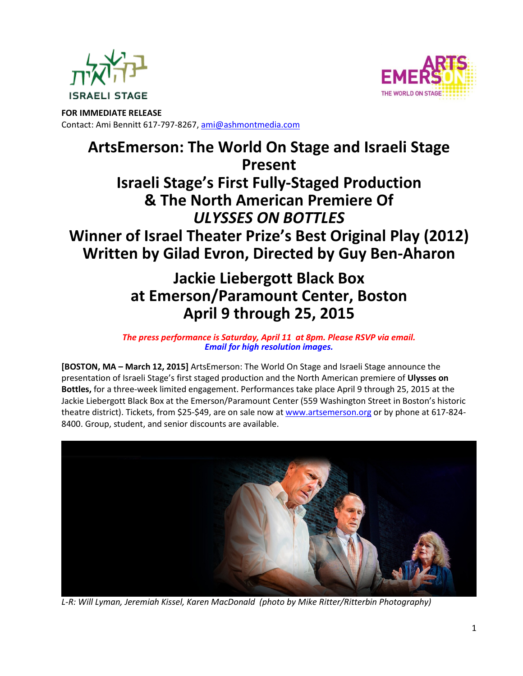



**FOR IMMEDIATE RELEASE**  Contact: Ami Bennitt 617‐797‐8267, ami@ashmontmedia.com

# **ArtsEmerson: The World On Stage and Israeli Stage Present Israeli Stage's First Fully-Staged Production & The North American Premiere Of**  *ULYSSES ON BOTTLES* **Winner of Israel Theater Prize's Best Original Play (2012) Written by Gilad Evron, Directed by Guy Ben-Aharon**

## **Jackie Liebergott Black Box at Emerson/Paramount Center, Boston April 9 through 25, 2015**

*The press performance is Saturday, April 11 at 8pm. Please RSVP via email. Email for high resolution images.*

**[BOSTON, MA – March 12, 2015]** ArtsEmerson: The World On Stage and Israeli Stage announce the presentation of Israeli Stage's first staged production and the North American premiere of **Ulysses on Bottles,** for a three‐week limited engagement. Performances take place April 9 through 25, 2015 at the Jackie Liebergott Black Box at the Emerson/Paramount Center (559 Washington Street in Boston's historic theatre district). Tickets, from \$25‐\$49, are on sale now at www.artsemerson.org or by phone at 617‐824‐ 8400. Group, student, and senior discounts are available.



*L-R: Will Lyman, Jeremiah Kissel, Karen MacDonald (photo by Mike Ritter/Ritterbin Photography)*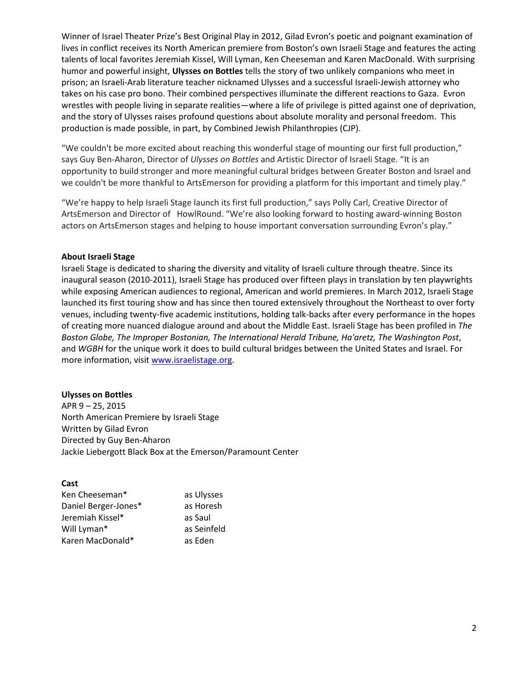Winner of Israel Theater Prize's Best Original Play in 2012, Gilad Evron's poetic and poignant examination of lives in conflict receives its North American premiere from Boston's own Israeli Stage and features the acting talents of local favorites Jeremiah Kissel, Will Lyman, Ken Cheeseman and Karen MacDonald. With surprising humor and powerful insight, **Ulysses on Bottles** tells the story of two unlikely companions who meet in prison; an Israeli‐Arab literature teacher nicknamed Ulysses and a successful Israeli‐Jewish attorney who takes on his case pro bono. Their combined perspectives illuminate the different reactions to Gaza. Evron wrestles with people living in separate realities—where a life of privilege is pitted against one of deprivation, and the story of Ulysses raises profound questions about absolute morality and personal freedom.This production is made possible, in part, by Combined Jewish Philanthropies (CJP).

"We couldn't be more excited about reaching this wonderful stage of mounting our first full production," says Guy Ben‐Aharon, Director of *Ulysses on Bottles* and Artistic Director of Israeli Stage. "It is an opportunity to build stronger and more meaningful cultural bridges between Greater Boston and Israel and we couldn't be more thankful to ArtsEmerson for providing a platform for this important and timely play."

"We're happy to help Israeli Stage launch its first full production," says Polly Carl, Creative Director of ArtsEmerson and Director of HowlRound. "We're also looking forward to hosting award‐winning Boston actors on ArtsEmerson stages and helping to house important conversation surrounding Evron's play."

#### **About Israeli Stage**

Israeli Stage is dedicated to sharing the diversity and vitality of Israeli culture through theatre. Since its inaugural season (2010‐2011), Israeli Stage has produced over fifteen plays in translation by ten playwrights while exposing American audiences to regional, American and world premieres. In March 2012, Israeli Stage launched its first touring show and has since then toured extensively throughout the Northeast to over forty venues, including twenty‐five academic institutions, holding talk‐backs after every performance in the hopes of creating more nuanced dialogue around and about the Middle East. Israeli Stage has been profiled in *The Boston Globe, The Improper Bostonian, The International Herald Tribune, Ha'aretz, The Washington Post*, and *WGBH* for the unique work it does to build cultural bridges between the United States and Israel. For more information, visit www.israelistage.org.

#### **Ulysses on Bottles**

APR 9 – 25, 2015 North American Premiere by Israeli Stage Written by Gilad Evron Directed by Guy Ben‐Aharon Jackie Liebergott Black Box at the Emerson/Paramount Center

#### **Cast**

| Ken Cheeseman*       | as Ulysses  |
|----------------------|-------------|
| Daniel Berger-Jones* | as Horesh   |
| Jeremiah Kissel*     | as Saul     |
| Will Lyman*          | as Seinfeld |
| Karen MacDonald*     | as Eden     |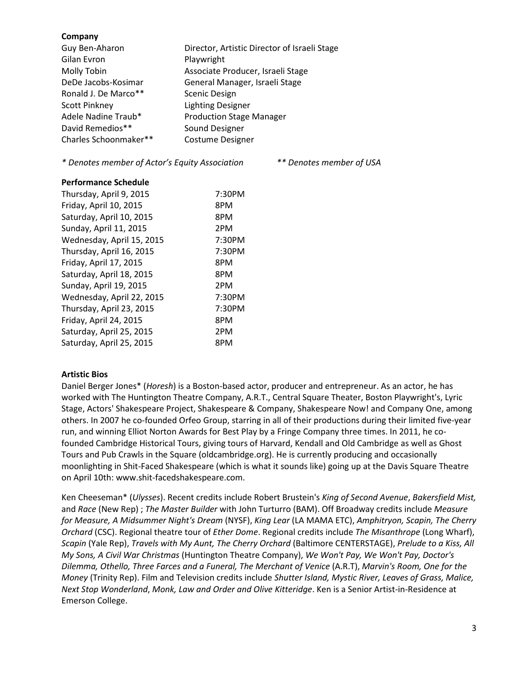#### **Company**

| Guy Ben-Aharon        | Director, Artistic Director of Israeli Stage |
|-----------------------|----------------------------------------------|
| Gilan Evron           | Playwright                                   |
| Molly Tobin           | Associate Producer, Israeli Stage            |
| DeDe Jacobs-Kosimar   | General Manager, Israeli Stage               |
| Ronald J. De Marco**  | <b>Scenic Design</b>                         |
| <b>Scott Pinkney</b>  | <b>Lighting Designer</b>                     |
| Adele Nadine Traub*   | <b>Production Stage Manager</b>              |
| David Remedios**      | Sound Designer                               |
| Charles Schoonmaker** | <b>Costume Designer</b>                      |

*\* Denotes member of Actor's Equity Association \*\* Denotes member of USA*

#### **Performance Schedule**

| Thursday, April 9, 2015   | 7:30PM |
|---------------------------|--------|
| Friday, April 10, 2015    | 8PM    |
| Saturday, April 10, 2015  | 8PM    |
| Sunday, April 11, 2015    | 2PM    |
| Wednesday, April 15, 2015 | 7:30PM |
| Thursday, April 16, 2015  | 7:30PM |
| Friday, April 17, 2015    | 8PM    |
| Saturday, April 18, 2015  | 8PM    |
| Sunday, April 19, 2015    | 2PM    |
| Wednesday, April 22, 2015 | 7:30PM |
| Thursday, April 23, 2015  | 7:30PM |
| Friday, April 24, 2015    | 8PM    |
| Saturday, April 25, 2015  | 2PM    |
| Saturday, April 25, 2015  | 8PM    |

#### **Artistic Bios**

Daniel Berger Jones\* (*Horesh*) is a Boston‐based actor, producer and entrepreneur. As an actor, he has worked with The Huntington Theatre Company, A.R.T., Central Square Theater, Boston Playwright's, Lyric Stage, Actors' Shakespeare Project, Shakespeare & Company, Shakespeare Now! and Company One, among others. In 2007 he co‐founded Orfeo Group, starring in all of their productions during their limited five‐year run, and winning Elliot Norton Awards for Best Play by a Fringe Company three times. In 2011, he cofounded Cambridge Historical Tours, giving tours of Harvard, Kendall and Old Cambridge as well as Ghost Tours and Pub Crawls in the Square (oldcambridge.org). He is currently producing and occasionally moonlighting in Shit‐Faced Shakespeare (which is what it sounds like) going up at the Davis Square Theatre on April 10th: www.shit‐facedshakespeare.com.

Ken Cheeseman\* (*Ulysses*). Recent credits include Robert Brustein's *King of Second Avenue*, *Bakersfield Mist,* and *Race* (New Rep) ; *The Master Builder* with John Turturro (BAM). Off Broadway credits include *Measure for Measure, A Midsummer Night's Dream* (NYSF), *King Lear* (LA MAMA ETC), *Amphitryon, Scapin, The Cherry Orchard* (CSC). Regional theatre tour of *Ether Dome*. Regional credits include *The Misanthrope* (Long Wharf), *Scapin* (Yale Rep), *Travels with My Aunt, The Cherry Orchard* (Baltimore CENTERSTAGE), *Prelude to a Kiss, All My Sons, A Civil War Christmas* (Huntington Theatre Company), *We Won't Pay, We Won't Pay, Doctor's Dilemma, Othello, Three Farces and a Funeral, The Merchant of Venice* (A.R.T), *Marvin's Room, One for the Money* (Trinity Rep). Film and Television credits include *Shutter Island, Mystic River, Leaves of Grass, Malice, Next Stop Wonderland*, *Monk, Law and Order and Olive Kitteridge*. Ken is a Senior Artist‐in‐Residence at Emerson College.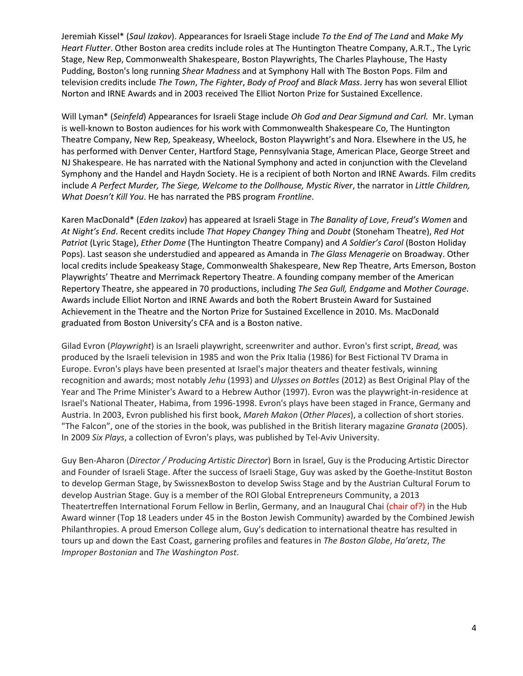Jeremiah Kissel\* (*Saul Izakov*). Appearances for Israeli Stage include *To the End of The Land* and *Make My Heart Flutter*. Other Boston area credits include roles at The Huntington Theatre Company, A.R.T., The Lyric Stage, New Rep, Commonwealth Shakespeare, Boston Playwrights, The Charles Playhouse, The Hasty Pudding, Boston's long running *Shear Madness* and at Symphony Hall with The Boston Pops. Film and television credits include *The Town*, *The Fighter*, *Body of Proof* and *Black Mass*. Jerry has won several Elliot Norton and IRNE Awards and in 2003 received The Elliot Norton Prize for Sustained Excellence.

Will Lyman\* (*Seinfeld*) Appearances for Israeli Stage include *Oh God and Dear Sigmund and Carl.* Mr. Lyman is well‐known to Boston audiences for his work with Commonwealth Shakespeare Co, The Huntington Theatre Company, New Rep, Speakeasy, Wheelock, Boston Playwright's and Nora. Elsewhere in the US, he has performed with Denver Center, Hartford Stage, Pennsylvania Stage, American Place, George Street and NJ Shakespeare. He has narrated with the National Symphony and acted in conjunction with the Cleveland Symphony and the Handel and Haydn Society. He is a recipient of both Norton and IRNE Awards. Film credits include *A Perfect Murder, The Siege, Welcome to the Dollhouse, Mystic River*, the narrator in *Little Children, What Doesn't Kill You*. He has narrated the PBS program *Frontline*.

Karen MacDonald\* (*Eden Izakov*) has appeared at Israeli Stage in *The Banality of Love*, *Freud's Women* and *At Night's End*. Recent credits include *That Hopey Changey Thing* and *Doubt* (Stoneham Theatre), *Red Hot Patriot* (Lyric Stage), *Ether Dome* (The Huntington Theatre Company) and *A Soldier's Carol* (Boston Holiday Pops). Last season she understudied and appeared as Amanda in *The Glass Menagerie* on Broadway. Other local credits include Speakeasy Stage, Commonwealth Shakespeare, New Rep Theatre, Arts Emerson, Boston Playwrights' Theatre and Merrimack Repertory Theatre. A founding company member of the American Repertory Theatre, she appeared in 70 productions, including *The Sea Gull, Endgame* and *Mother Courage*. Awards include Elliot Norton and IRNE Awards and both the Robert Brustein Award for Sustained Achievement in the Theatre and the Norton Prize for Sustained Excellence in 2010. Ms. MacDonald graduated from Boston University's CFA and is a Boston native.

Gilad Evron (*Playwright*) is an Israeli playwright, screenwriter and author. Evron's first script, *Bread,* was produced by the Israeli television in 1985 and won the Prix Italia (1986) for Best Fictional TV Drama in Europe. Evron's plays have been presented at Israel's major theaters and theater festivals, winning recognition and awards; most notably *Jehu* (1993) and *Ulysses on Bottles* (2012) as Best Original Play of the Year and The Prime Minister's Award to a Hebrew Author (1997). Evron was the playwright‐in‐residence at Israel's National Theater, Habima, from 1996‐1998. Evron's plays have been staged in France, Germany and Austria. In 2003, Evron published his first book, *Mareh Makon* (*Other Places*), a collection of short stories. "The Falcon", one of the stories in the book, was published in the British literary magazine *Granata* (2005). In 2009 *Six Plays*, a collection of Evron's plays, was published by Tel‐Aviv University.

Guy Ben‐Aharon (*Director / Producing Artistic Director*) Born in Israel, Guy is the Producing Artistic Director and Founder of Israeli Stage. After the success of Israeli Stage, Guy was asked by the Goethe-Institut Boston to develop German Stage, by SwissnexBoston to develop Swiss Stage and by the Austrian Cultural Forum to develop Austrian Stage. Guy is a member of the ROI Global Entrepreneurs Community, a 2013 Theatertreffen International Forum Fellow in Berlin, Germany, and an Inaugural Chai (chair of?) in the Hub Award winner (Top 18 Leaders under 45 in the Boston Jewish Community) awarded by the Combined Jewish Philanthropies. A proud Emerson College alum, Guy's dedication to international theatre has resulted in tours up and down the East Coast, garnering profiles and features in *The Boston Globe*, *Ha'aretz*, *The Improper Bostonian* and *The Washington Post*.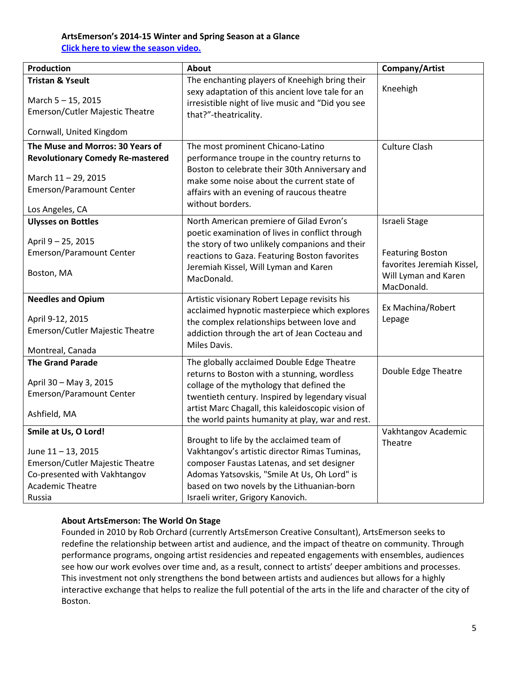#### **ArtsEmerson's 2014-15 Winter and Spring Season at a Glance Click here to view the season video.**

| Production                                                                                                                                               | About                                                                                                                                                                                                                                                                                              | Company/Artist                                                                                               |
|----------------------------------------------------------------------------------------------------------------------------------------------------------|----------------------------------------------------------------------------------------------------------------------------------------------------------------------------------------------------------------------------------------------------------------------------------------------------|--------------------------------------------------------------------------------------------------------------|
| <b>Tristan &amp; Yseult</b><br>March 5-15, 2015<br>Emerson/Cutler Majestic Theatre<br>Cornwall, United Kingdom                                           | The enchanting players of Kneehigh bring their<br>sexy adaptation of this ancient love tale for an<br>irresistible night of live music and "Did you see<br>that?"-theatricality.                                                                                                                   | Kneehigh                                                                                                     |
| The Muse and Morros: 30 Years of<br><b>Revolutionary Comedy Re-mastered</b><br>March 11 - 29, 2015<br><b>Emerson/Paramount Center</b><br>Los Angeles, CA | The most prominent Chicano-Latino<br>performance troupe in the country returns to<br>Boston to celebrate their 30th Anniversary and<br>make some noise about the current state of<br>affairs with an evening of raucous theatre<br>without borders.                                                | <b>Culture Clash</b>                                                                                         |
| <b>Ulysses on Bottles</b><br>April 9-25, 2015<br><b>Emerson/Paramount Center</b><br>Boston, MA                                                           | North American premiere of Gilad Evron's<br>poetic examination of lives in conflict through<br>the story of two unlikely companions and their<br>reactions to Gaza. Featuring Boston favorites<br>Jeremiah Kissel, Will Lyman and Karen<br>MacDonald.                                              | Israeli Stage<br><b>Featuring Boston</b><br>favorites Jeremiah Kissel,<br>Will Lyman and Karen<br>MacDonald. |
| <b>Needles and Opium</b><br>April 9-12, 2015<br>Emerson/Cutler Majestic Theatre<br>Montreal, Canada                                                      | Artistic visionary Robert Lepage revisits his<br>acclaimed hypnotic masterpiece which explores<br>the complex relationships between love and<br>addiction through the art of Jean Cocteau and<br>Miles Davis.                                                                                      | Ex Machina/Robert<br>Lepage                                                                                  |
| <b>The Grand Parade</b><br>April 30 - May 3, 2015<br><b>Emerson/Paramount Center</b><br>Ashfield, MA                                                     | The globally acclaimed Double Edge Theatre<br>returns to Boston with a stunning, wordless<br>collage of the mythology that defined the<br>twentieth century. Inspired by legendary visual<br>artist Marc Chagall, this kaleidoscopic vision of<br>the world paints humanity at play, war and rest. | Double Edge Theatre                                                                                          |
| Smile at Us, O Lord!<br>June 11 - 13, 2015<br>Emerson/Cutler Majestic Theatre<br>Co-presented with Vakhtangov<br><b>Academic Theatre</b><br>Russia       | Brought to life by the acclaimed team of<br>Vakhtangov's artistic director Rimas Tuminas,<br>composer Faustas Latenas, and set designer<br>Adomas Yatsovskis, "Smile At Us, Oh Lord" is<br>based on two novels by the Lithuanian-born<br>Israeli writer, Grigory Kanovich.                         | Vakhtangov Academic<br>Theatre                                                                               |

### **About ArtsEmerson: The World On Stage**

Founded in 2010 by Rob Orchard (currently ArtsEmerson Creative Consultant), ArtsEmerson seeks to redefine the relationship between artist and audience, and the impact of theatre on community. Through performance programs, ongoing artist residencies and repeated engagements with ensembles, audiences see how our work evolves over time and, as a result, connect to artists' deeper ambitions and processes. This investment not only strengthens the bond between artists and audiences but allows for a highly interactive exchange that helps to realize the full potential of the arts in the life and character of the city of Boston.